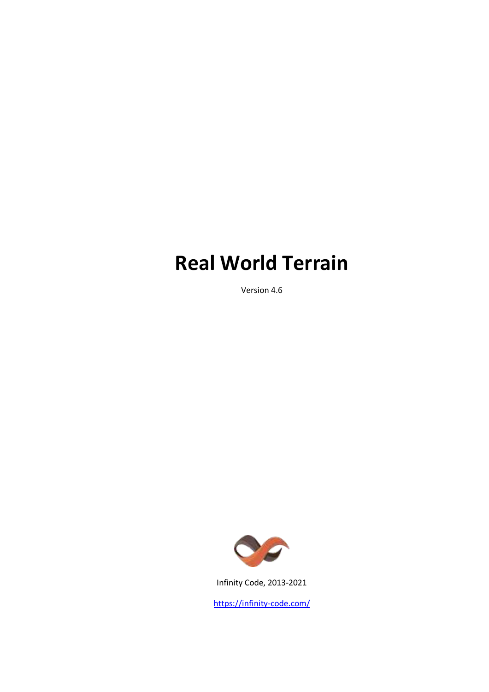# **Real World Terrain**

Version 4.6



Infinity Code, 2013-2021

<https://infinity-code.com/>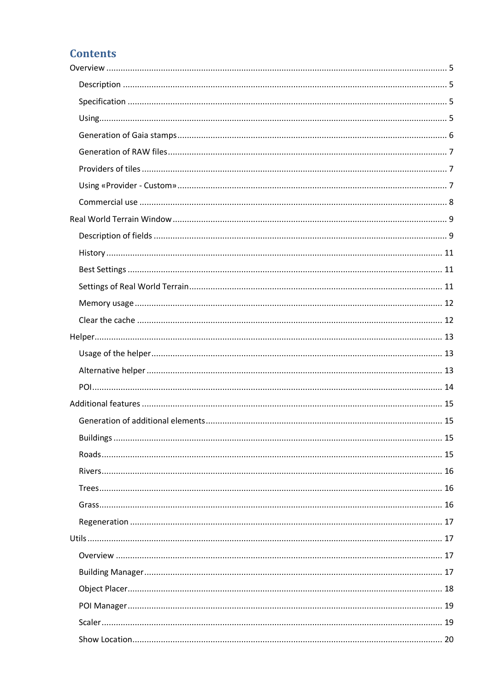# **Contents**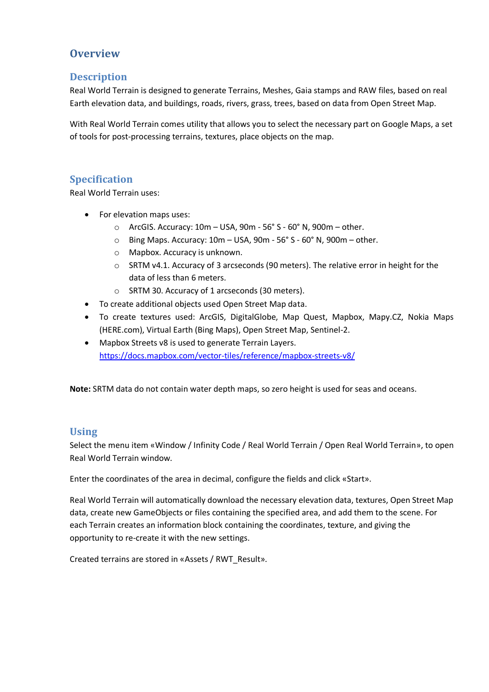## <span id="page-4-0"></span>**Overview**

## <span id="page-4-1"></span>**Description**

Real World Terrain is designed to generate Terrains, Meshes, Gaia stamps and RAW files, based on real Earth elevation data, and buildings, roads, rivers, grass, trees, based on data from Open Street Map.

With Real World Terrain comes utility that allows you to select the necessary part on Google Maps, a set of tools for post-processing terrains, textures, place objects on the map.

## <span id="page-4-2"></span>**Specification**

Real World Terrain uses:

- For elevation maps uses:
	- o ArcGIS. Accuracy: 10m USA, 90m 56° S 60° N, 900m other.
	- o Bing Maps. Accuracy: 10m USA, 90m 56° S 60° N, 900m other.
	- o Mapbox. Accuracy is unknown.
	- $\circ$  SRTM v4.1. Accuracy of 3 arcseconds (90 meters). The relative error in height for the data of less than 6 meters.
	- o SRTM 30. Accuracy of 1 arcseconds (30 meters).
- To create additional objects used Open Street Map data.
- To create textures used: ArcGIS, DigitalGlobe, Map Quest, Mapbox, Mapy.CZ, Nokia Maps (HERE.com), Virtual Earth (Bing Maps), Open Street Map, Sentinel-2.
- Mapbox Streets v8 is used to generate Terrain Layers. <https://docs.mapbox.com/vector-tiles/reference/mapbox-streets-v8/>

**Note:** SRTM data do not contain water depth maps, so zero height is used for seas and oceans.

## <span id="page-4-3"></span>**Using**

Select the menu item «Window / Infinity Code / Real World Terrain / Open Real World Terrain», to open Real World Terrain window.

Enter the coordinates of the area in decimal, configure the fields and click «Start».

Real World Terrain will automatically download the necessary elevation data, textures, Open Street Map data, create new GameObjects or files containing the specified area, and add them to the scene. For each Terrain creates an information block containing the coordinates, texture, and giving the opportunity to re-create it with the new settings.

Created terrains are stored in «Assets / RWT\_Result».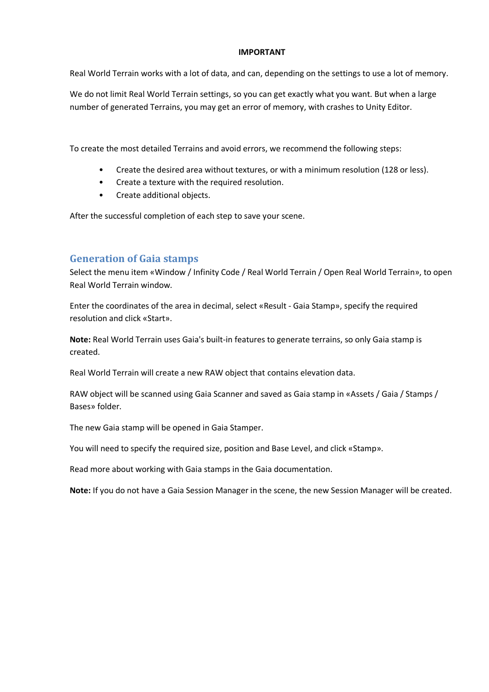#### **IMPORTANT**

Real World Terrain works with a lot of data, and can, depending on the settings to use a lot of memory.

We do not limit Real World Terrain settings, so you can get exactly what you want. But when a large number of generated Terrains, you may get an error of memory, with crashes to Unity Editor.

To create the most detailed Terrains and avoid errors, we recommend the following steps:

- Create the desired area without textures, or with a minimum resolution (128 or less).
- Create a texture with the required resolution.
- Create additional objects.

After the successful completion of each step to save your scene.

## <span id="page-5-0"></span>**Generation of Gaia stamps**

Select the menu item «Window / Infinity Code / Real World Terrain / Open Real World Terrain», to open Real World Terrain window.

Enter the coordinates of the area in decimal, select «Result - Gaia Stamp», specify the required resolution and click «Start».

**Note:** Real World Terrain uses Gaia's built-in features to generate terrains, so only Gaia stamp is created.

Real World Terrain will create a new RAW object that contains elevation data.

RAW object will be scanned using Gaia Scanner and saved as Gaia stamp in «Assets / Gaia / Stamps / Bases» folder.

The new Gaia stamp will be opened in Gaia Stamper.

You will need to specify the required size, position and Base Level, and click «Stamp».

Read more about working with Gaia stamps in the Gaia documentation.

**Note:** If you do not have a Gaia Session Manager in the scene, the new Session Manager will be created.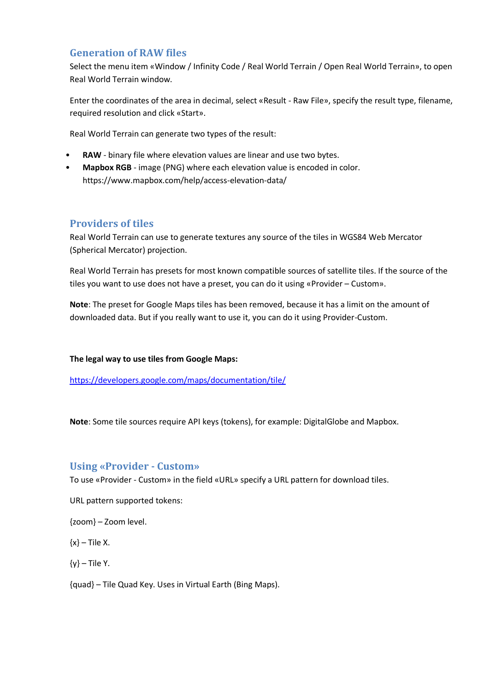## <span id="page-6-0"></span>**Generation of RAW files**

Select the menu item «Window / Infinity Code / Real World Terrain / Open Real World Terrain», to open Real World Terrain window.

Enter the coordinates of the area in decimal, select «Result - Raw File», specify the result type, filename, required resolution and click «Start».

Real World Terrain can generate two types of the result:

- RAW binary file where elevation values are linear and use two bytes.
- **Mapbox RGB**  image (PNG) where each elevation value is encoded in color. https://www.mapbox.com/help/access-elevation-data/

## <span id="page-6-1"></span>**Providers of tiles**

Real World Terrain can use to generate textures any source of the tiles in WGS84 Web Mercator (Spherical Mercator) projection.

Real World Terrain has presets for most known compatible sources of satellite tiles. If the source of the tiles you want to use does not have a preset, you can do it using «Provider – Custom».

**Note**: The preset for Google Maps tiles has been removed, because it has a limit on the amount of downloaded data. But if you really want to use it, you can do it using Provider-Custom.

#### **The legal way to use tiles from Google Maps:**

<https://developers.google.com/maps/documentation/tile/>

**Note**: Some tile sources require API keys (tokens), for example: DigitalGlobe and Mapbox.

## <span id="page-6-2"></span>**Using «Provider - Custom»**

To use «Provider - Custom» in the field «URL» specify a URL pattern for download tiles.

URL pattern supported tokens:

{zoom} – Zoom level.

 $\{x\}$  – Tile X.

 $\{v\}$  – Tile Y.

{quad} – Tile Quad Key. Uses in Virtual Earth (Bing Maps).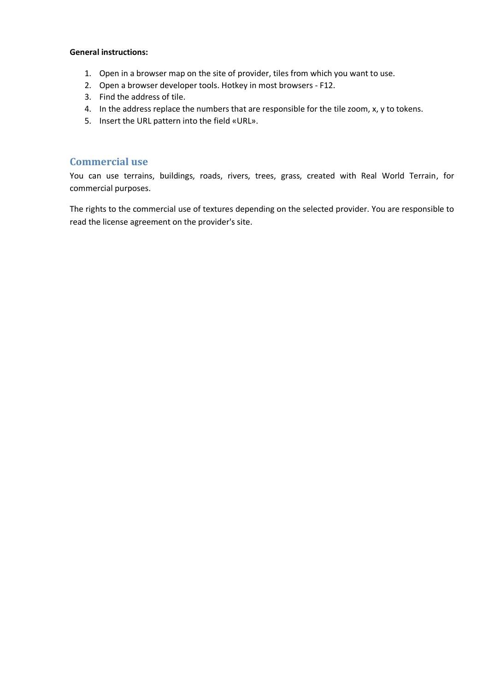#### **General instructions:**

- 1. Open in a browser map on the site of provider, tiles from which you want to use.
- 2. Open a browser developer tools. Hotkey in most browsers F12.
- 3. Find the address of tile.
- 4. In the address replace the numbers that are responsible for the tile zoom, x, y to tokens.
- 5. Insert the URL pattern into the field «URL».

#### <span id="page-7-0"></span>**Commercial use**

You can use terrains, buildings, roads, rivers, trees, grass, created with Real World Terrain, for commercial purposes.

The rights to the commercial use of textures depending on the selected provider. You are responsible to read the license agreement on the provider's site.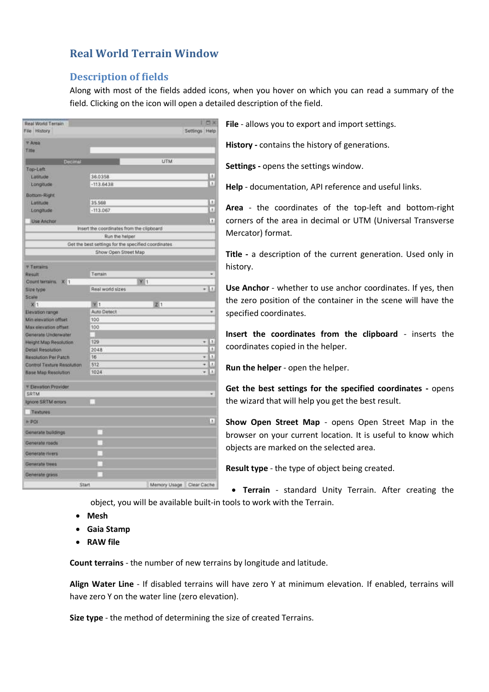## <span id="page-8-0"></span>**Real World Terrain Window**

## <span id="page-8-1"></span>**Description of fields**

Along with most of the fields added icons, when you hover on which you can read a summary of the field. Clicking on the icon will open a detailed description of the field.

| Real World Terrain                      |                                                     |                            | 四味                |
|-----------------------------------------|-----------------------------------------------------|----------------------------|-------------------|
| File History                            |                                                     |                            | Settings Help     |
| <b>T Area</b>                           |                                                     |                            |                   |
| Title                                   |                                                     |                            |                   |
| Decimal                                 |                                                     | UTM                        |                   |
| Top-Left                                |                                                     |                            |                   |
| Latitude                                | 36.0358                                             |                            | 1                 |
| Longitude                               | $-113.6438$                                         |                            | x                 |
| Bottom-Right                            |                                                     |                            |                   |
| Latitude                                | 35,568                                              |                            | ×                 |
| Longitude                               | $-113.067$                                          |                            | ł.                |
|                                         |                                                     |                            | $\mathbf{I}$      |
| <b>Use Anchor</b>                       | insert the coordinates from the clipboard           |                            |                   |
|                                         | Run the helper                                      |                            |                   |
|                                         | Get the best settings for the specified coordinates |                            |                   |
|                                         | Show Open Street Map                                |                            |                   |
|                                         |                                                     |                            |                   |
| <b>Temains</b>                          |                                                     |                            |                   |
| Result                                  | Terrain                                             |                            |                   |
| Count ternims.<br>XII <sub>1</sub>      |                                                     | $Y$ <sub>1</sub>           |                   |
| <b>Size type</b>                        | Real world sizes                                    |                            | $+11$             |
| Scale                                   |                                                     |                            |                   |
| 56 1                                    | W 1<br>Auto Detect                                  | 21                         | ٠                 |
| Elevation range<br>Min elevation offset | 100                                                 |                            |                   |
| Max elevation offset                    | 100                                                 |                            |                   |
| Generate Underwater                     |                                                     |                            |                   |
| Height Map Resolution                   | 129                                                 |                            | $\mathbf{r}$<br>٠ |
| <b>Detail Resolution</b>                | 2048                                                |                            | $\mathbf{1}$      |
| Resolution Per Patch                    | 16                                                  |                            | x<br>٠            |
| Control Texture Resolution              | 512                                                 |                            | Ă<br>۰            |
| <b>Base Map Resolution</b>              | 1024                                                |                            | x                 |
|                                         |                                                     |                            |                   |
| <sup>*</sup> Elevation Provider<br>SRTM |                                                     |                            | ۷                 |
| Ignore SRTM errors                      |                                                     |                            |                   |
|                                         |                                                     |                            |                   |
| Textures<br>$\blacktriangleright$ PDI   |                                                     |                            | 1                 |
|                                         |                                                     |                            |                   |
| Generate buildings                      |                                                     |                            |                   |
| Generate roads                          |                                                     |                            |                   |
| Generate rivers                         |                                                     |                            |                   |
| Generate trees                          |                                                     |                            |                   |
| Generate grass                          |                                                     |                            |                   |
| <b>Start</b>                            |                                                     | Memory Usage   Clear Cache |                   |
|                                         |                                                     |                            |                   |

**File** - allows you to export and import settings.

**History -** contains the history of generations.

**Settings -** opens the settings window.

**Help** - documentation, API reference and useful links.

**Area** - the coordinates of the top-left and bottom-right corners of the area in decimal or UTM (Universal Transverse Mercator) format.

**Title -** a description of the current generation. Used only in history.

**Use Anchor** - whether to use anchor coordinates. If yes, then the zero position of the container in the scene will have the specified coordinates.

**Insert the coordinates from the clipboard** - inserts the coordinates copied in the helper.

**Run the helper** - open the helper.

**Get the best settings for the specified coordinates -** opens the wizard that will help you get the best result.

**Show Open Street Map** - opens Open Street Map in the browser on your current location. It is useful to know which objects are marked on the selected area.

**Result type** - the type of object being created.

• **Terrain** - standard Unity Terrain. After creating the object, you will be available built-in tools to work with the Terrain.

- **Mesh**
- **Gaia Stamp**
- **RAW file**

**Count terrains** - the number of new terrains by longitude and latitude.

**Align Water Line** - If disabled terrains will have zero Y at minimum elevation. If enabled, terrains will have zero Y on the water line (zero elevation).

**Size type** - the method of determining the size of created Terrains.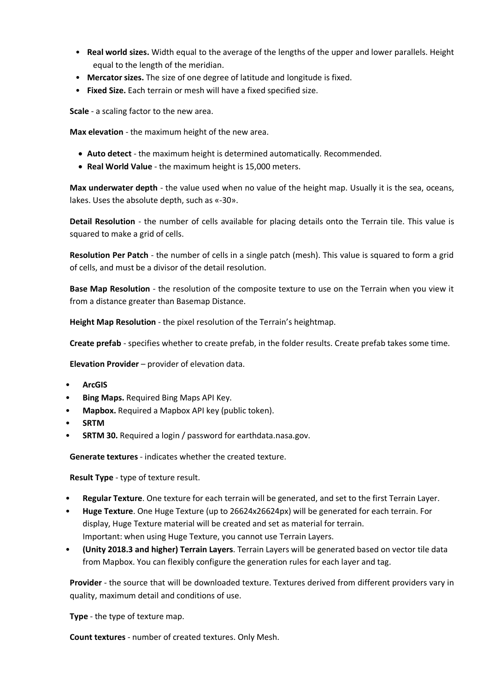- **Real world sizes.** Width equal to the average of the lengths of the upper and lower parallels. Height equal to the length of the meridian.
- **Mercator sizes.** The size of one degree of latitude and longitude is fixed.
- **Fixed Size.** Each terrain or mesh will have a fixed specified size.

**Scale** - a scaling factor to the new area.

**Max elevation** - the maximum height of the new area.

- **Auto detect** the maximum height is determined automatically. Recommended.
- **Real World Value** the maximum height is 15,000 meters.

**Max underwater depth** - the value used when no value of the height map. Usually it is the sea, oceans, lakes. Uses the absolute depth, such as «-30».

**Detail Resolution** - the number of cells available for placing details onto the Terrain tile. This value is squared to make a grid of cells.

**Resolution Per Patch** - the number of cells in a single patch (mesh). This value is squared to form a grid of cells, and must be a divisor of the detail resolution.

**Base Map Resolution** - the resolution of the composite texture to use on the Terrain when you view it from a distance greater than Basemap Distance.

**Height Map Resolution** - the pixel resolution of the Terrain's heightmap.

**Create prefab** - specifies whether to create prefab, in the folder results. Create prefab takes some time.

**Elevation Provider** – provider of elevation data.

- **ArcGIS**
- **Bing Maps.** Required Bing Maps API Key.
- **Mapbox.** Required a Mapbox API key (public token).
- **SRTM**
- **SRTM 30.** Required a login / password for earthdata.nasa.gov.

**Generate textures** - indicates whether the created texture.

**Result Type** - type of texture result.

- **Regular Texture**. One texture for each terrain will be generated, and set to the first Terrain Layer.
- **Huge Texture**. One Huge Texture (up to 26624x26624px) will be generated for each terrain. For display, Huge Texture material will be created and set as material for terrain. Important: when using Huge Texture, you cannot use Terrain Layers.
- **(Unity 2018.3 and higher) Terrain Layers**. Terrain Layers will be generated based on vector tile data from Mapbox. You can flexibly configure the generation rules for each layer and tag.

**Provider** - the source that will be downloaded texture. Textures derived from different providers vary in quality, maximum detail and conditions of use.

**Type** - the type of texture map.

**Count textures** - number of created textures. Only Mesh.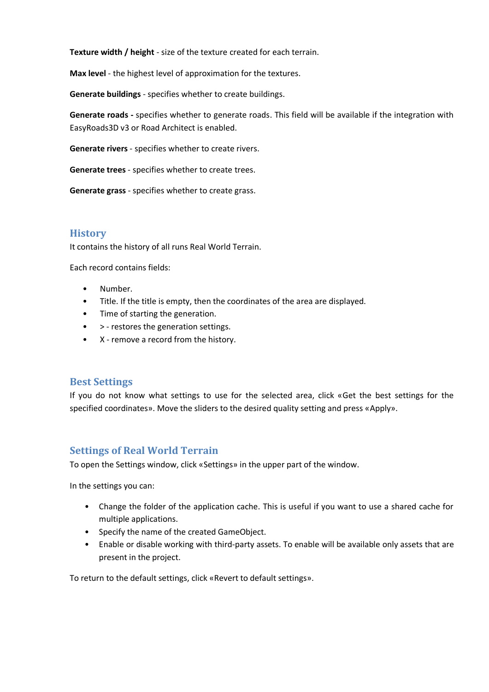**Texture width / height** - size of the texture created for each terrain.

**Max level** - the highest level of approximation for the textures.

**Generate buildings** - specifies whether to create buildings.

**Generate roads -** specifies whether to generate roads. This field will be available if the integration with EasyRoads3D v3 or Road Architect is enabled.

**Generate rivers** - specifies whether to create rivers.

**Generate trees** - specifies whether to create trees.

**Generate grass** - specifies whether to create grass.

## <span id="page-10-0"></span>**History**

It contains the history of all runs Real World Terrain.

Each record contains fields:

- Number.
- Title. If the title is empty, then the coordinates of the area are displayed.
- Time of starting the generation.
- > restores the generation settings.
- X remove a record from the history.

#### <span id="page-10-1"></span>**Best Settings**

If you do not know what settings to use for the selected area, click «Get the best settings for the specified coordinates». Move the sliders to the desired quality setting and press «Apply».

## <span id="page-10-2"></span>**Settings of Real World Terrain**

To open the Settings window, click «Settings» in the upper part of the window.

In the settings you can:

- Change the folder of the application cache. This is useful if you want to use a shared cache for multiple applications.
- Specify the name of the created GameObject.
- Enable or disable working with third-party assets. To enable will be available only assets that are present in the project.

To return to the default settings, click «Revert to default settings».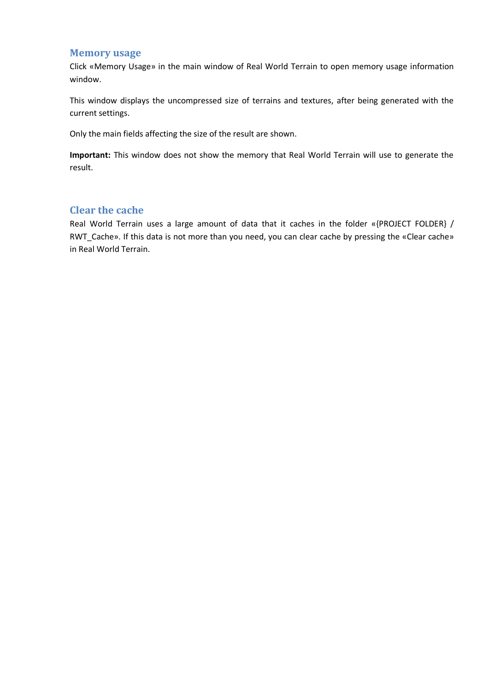#### <span id="page-11-0"></span>**Memory usage**

Click «Memory Usage» in the main window of Real World Terrain to open memory usage information window.

This window displays the uncompressed size of terrains and textures, after being generated with the current settings.

Only the main fields affecting the size of the result are shown.

**Important:** This window does not show the memory that Real World Terrain will use to generate the result.

## <span id="page-11-1"></span>**Clear the cache**

Real World Terrain uses a large amount of data that it caches in the folder «{PROJECT FOLDER} / RWT\_Cache». If this data is not more than you need, you can clear cache by pressing the «Clear cache» in Real World Terrain.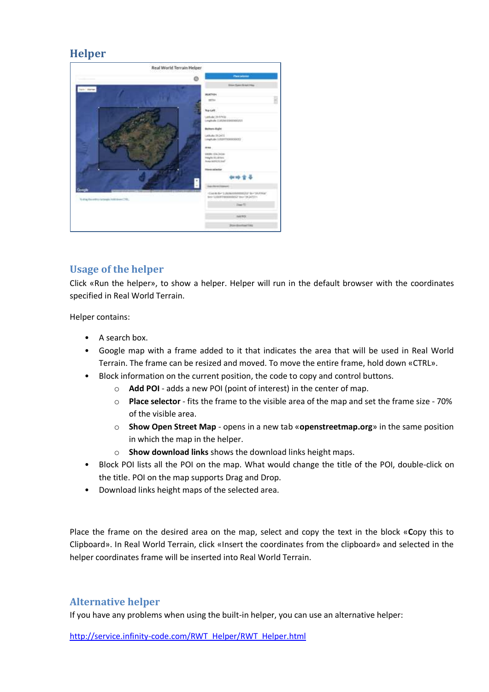## <span id="page-12-0"></span>**Helper**



## <span id="page-12-1"></span>**Usage of the helper**

Click «Run the helper», to show a helper. Helper will run in the default browser with the coordinates specified in Real World Terrain.

Helper contains:

- A search box.
- Google map with a frame added to it that indicates the area that will be used in Real World Terrain. The frame can be resized and moved. To move the entire frame, hold down «CTRL».
- Block information on the current position, the code to copy and control buttons.
	- o **Add POI** adds a new POI (point of interest) in the center of map.
	- o **Place selector** fits the frame to the visible area of the map and set the frame size 70% of the visible area.
	- o **Show Open Street Map** opens in a new tab «**openstreetmap.org**» in the same position in which the map in the helper.
	- o **Show download links** shows the download links height maps.
- Block POI lists all the POI on the map. What would change the title of the POI, double-click on the title. POI on the map supports Drag and Drop.
- Download links height maps of the selected area.

Place the frame on the desired area on the map, select and copy the text in the block «**C**opy this to Clipboard». In Real World Terrain, click «Insert the coordinates from the clipboard» and selected in the helper coordinates frame will be inserted into Real World Terrain.

## <span id="page-12-2"></span>**Alternative helper**

If you have any problems when using the built-in helper, you can use an alternative helper:

[http://service.infinity-code.com/RWT\\_Helper/RWT\\_Helper.html](http://service.infinity-code.com/RWT_Helper/RWT_Helper.html)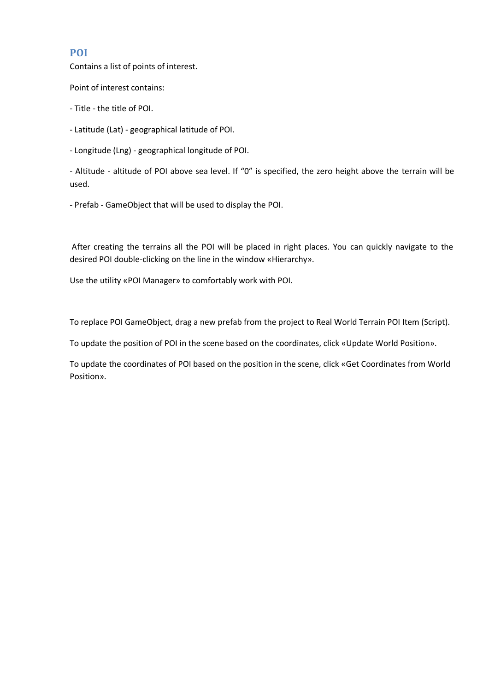#### <span id="page-13-0"></span>**POI**

Contains a list of points of interest.

Point of interest contains:

- Title - the title of POI.

- Latitude (Lat) - geographical latitude of POI.

- Longitude (Lng) - geographical longitude of POI.

- Altitude - altitude of POI above sea level. If "0" is specified, the zero height above the terrain will be used.

- Prefab - GameObject that will be used to display the POI.

After creating the terrains all the POI will be placed in right places. You can quickly navigate to the desired POI double-clicking on the line in the window «Hierarchy».

Use the utility «POI Manager» to comfortably work with POI.

To replace POI GameObject, drag a new prefab from the project to Real World Terrain POI Item (Script).

To update the position of POI in the scene based on the coordinates, click «Update World Position».

To update the coordinates of POI based on the position in the scene, click «Get Coordinates from World Position».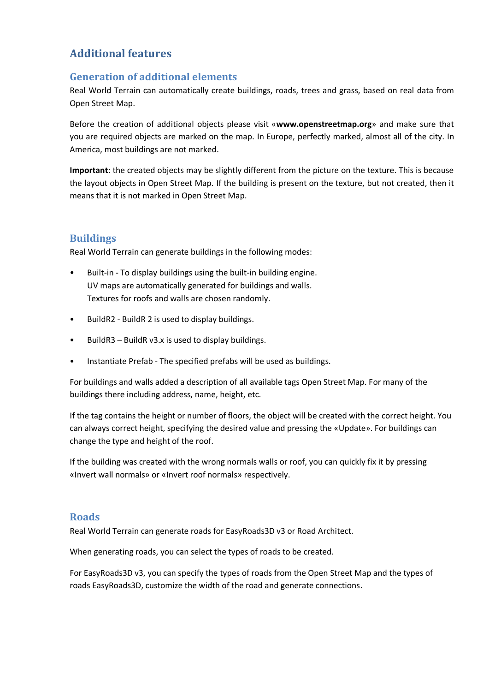## <span id="page-14-0"></span>**Additional features**

## <span id="page-14-1"></span>**Generation of additional elements**

Real World Terrain can automatically create buildings, roads, trees and grass, based on real data from Open Street Map.

Before the creation of additional objects please visit «**www.openstreetmap.org**» and make sure that you are required objects are marked on the map. In Europe, perfectly marked, almost all of the city. In America, most buildings are not marked.

**Important**: the created objects may be slightly different from the picture on the texture. This is because the layout objects in Open Street Map. If the building is present on the texture, but not created, then it means that it is not marked in Open Street Map.

## <span id="page-14-2"></span>**Buildings**

Real World Terrain can generate buildings in the following modes:

- Built-in To display buildings using the built-in building engine. UV maps are automatically generated for buildings and walls. Textures for roofs and walls are chosen randomly.
- BuildR2 BuildR 2 is used to display buildings.
- BuildR3 BuildR v3.x is used to display buildings.
- Instantiate Prefab The specified prefabs will be used as buildings.

For buildings and walls added a description of all available tags Open Street Map. For many of the buildings there including address, name, height, etc.

If the tag contains the height or number of floors, the object will be created with the correct height. You can always correct height, specifying the desired value and pressing the «Update». For buildings can change the type and height of the roof.

If the building was created with the wrong normals walls or roof, you can quickly fix it by pressing «Invert wall normals» or «Invert roof normals» respectively.

## <span id="page-14-3"></span>**Roads**

Real World Terrain can generate roads for EasyRoads3D v3 or Road Architect.

When generating roads, you can select the types of roads to be created.

For EasyRoads3D v3, you can specify the types of roads from the Open Street Map and the types of roads EasyRoads3D, customize the width of the road and generate connections.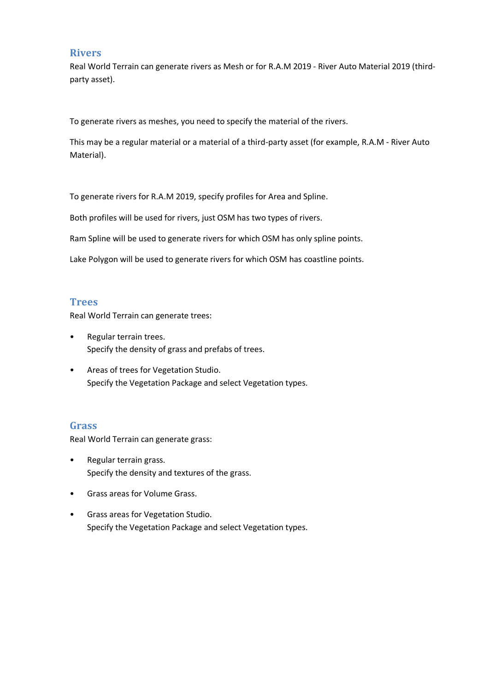#### <span id="page-15-0"></span>**Rivers**

Real World Terrain can generate rivers as Mesh or for R.A.M 2019 - River Auto Material 2019 (thirdparty asset).

To generate rivers as meshes, you need to specify the material of the rivers.

This may be a regular material or a material of a third-party asset (for example, R.A.M - River Auto Material).

To generate rivers for R.A.M 2019, specify profiles for Area and Spline.

Both profiles will be used for rivers, just OSM has two types of rivers.

Ram Spline will be used to generate rivers for which OSM has only spline points.

Lake Polygon will be used to generate rivers for which OSM has coastline points.

#### <span id="page-15-1"></span>**Trees**

Real World Terrain can generate trees:

- Regular terrain trees. Specify the density of grass and prefabs of trees.
- Areas of trees for Vegetation Studio. Specify the Vegetation Package and select Vegetation types.

#### <span id="page-15-2"></span>**Grass**

Real World Terrain can generate grass:

- Regular terrain grass. Specify the density and textures of the grass.
- Grass areas for Volume Grass.
- Grass areas for Vegetation Studio. Specify the Vegetation Package and select Vegetation types.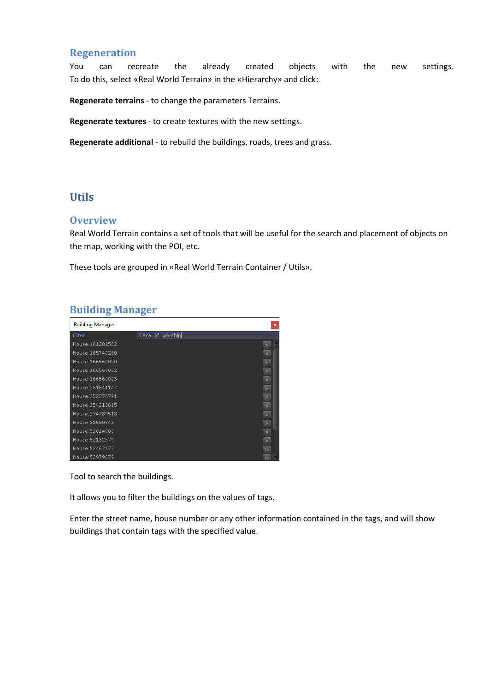#### <span id="page-16-0"></span>**Regeneration**

You can recreate the already created objects with the new settings. To do this, select «Real World Terrain» in the «Hierarchy» and click:

**Regenerate terrains** - to change the parameters Terrains.

**Regenerate textures** - to create textures with the new settings.

**Regenerate additional** - to rebuild the buildings, roads, trees and grass.

## <span id="page-16-1"></span>**Utils**

#### <span id="page-16-2"></span>**Overview**

Real World Terrain contains a set of tools that will be useful for the search and placement of objects on the map, working with the POI, etc.

These tools are grouped in «Real World Terrain Container / Utils».

<span id="page-16-3"></span>

|  | <b>Building Manager</b> |
|--|-------------------------|
|  |                         |

| <b>Building Manager</b> |                  | ×              |
|-------------------------|------------------|----------------|
| Filter:                 | place_of_worship |                |
| House 161281502         |                  | $\geq$         |
| House 165740280         |                  | $\geq$         |
| House 166560020         |                  | $\geq$         |
| House 166560022         |                  | $\geq$         |
| House 166560023         |                  | $\geq$         |
| House 251644147         |                  | $\overline{ }$ |
| House 252370791         |                  | $\geq$         |
| House 254212615         |                  | $\geq$         |
| House 274789518         |                  | $\geq$         |
| House 31550348          |                  | $\geq$         |
| House 51014903          |                  | $\geq$         |
| House 52132579          |                  | $\overline{ }$ |
| House 52467177          |                  | $\geq$         |
| House 52979079          |                  |                |

Tool to search the buildings.

It allows you to filter the buildings on the values of tags.

Enter the street name, house number or any other information contained in the tags, and will show buildings that contain tags with the specified value.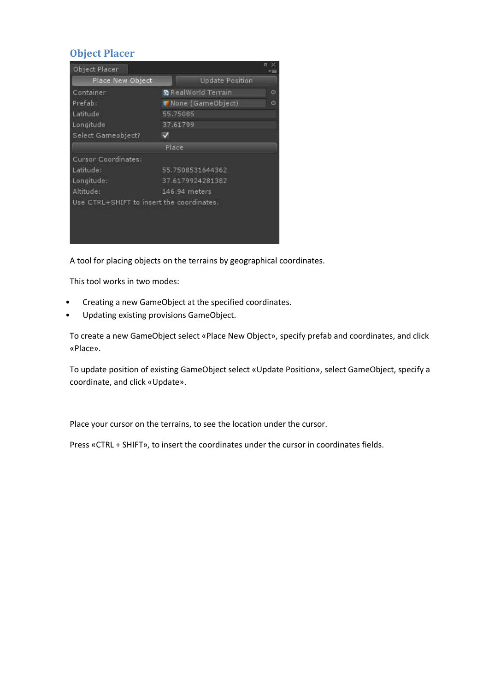## <span id="page-17-0"></span>**Object Placer**

| Object Placer                             |                            | ь       |
|-------------------------------------------|----------------------------|---------|
| Place New Object                          | <b>Update Position</b>     |         |
| Container                                 | <b>B</b> RealWorld Terrain | O       |
| Prefab:                                   | Wone (GameObject)          | $\odot$ |
| Latitude                                  | 55.75085                   |         |
| Longitude                                 | 37.61799                   |         |
| Select Gameobject?                        | M                          |         |
|                                           | Place                      |         |
| Cursor Coordinates:                       |                            |         |
| Latitude:                                 | 55.7508531644362           |         |
| Longitude:                                | 37.6179924281382           |         |
| Altitude:                                 | 146.94 meters              |         |
| Use CTRL+SHIFT to insert the coordinates. |                            |         |
|                                           |                            |         |
|                                           |                            |         |

A tool for placing objects on the terrains by geographical coordinates.

This tool works in two modes:

- Creating a new GameObject at the specified coordinates.
- Updating existing provisions GameObject.

To create a new GameObject select «Place New Object», specify prefab and coordinates, and click «Place».

To update position of existing GameObject select «Update Position», select GameObject, specify a coordinate, and click «Update».

Place your cursor on the terrains, to see the location under the cursor.

Press «CTRL + SHIFT», to insert the coordinates under the cursor in coordinates fields.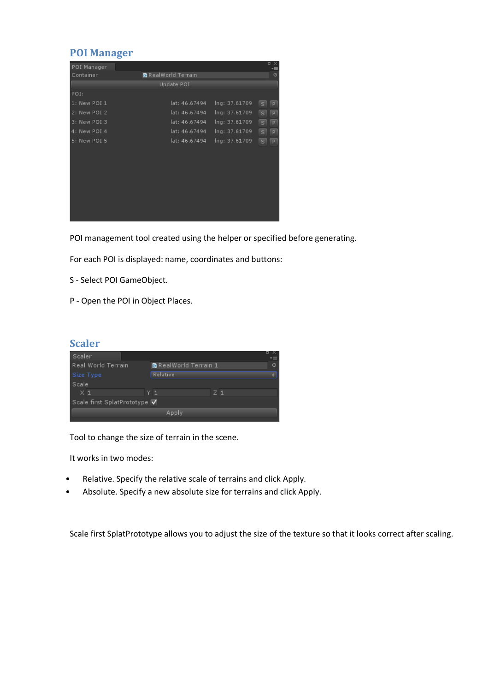## <span id="page-18-0"></span>**POI Manager**

| POI Manager  |                            |               | $\blacksquare$<br>$\propto$<br>∗≡ |
|--------------|----------------------------|---------------|-----------------------------------|
| Container    | <b>C</b> RealWorld Terrain |               | $\circ$                           |
|              | Update POI                 |               |                                   |
| POI:         |                            |               |                                   |
| 1: New POI 1 | lat: 46.67494              | Ing: 37.61709 | s<br>P                            |
| 2: New POI 2 | lat: 46.67494              | Ing: 37.61709 | $\vert$ s $\vert$<br>P            |
| 3: New POI 3 | lat: 46.67494              | Ing: 37.61709 | $\sqrt{s}$<br>P                   |
| 4: New POI 4 | lat: 46.67494              | Ing: 37.61709 | $\vert$ s $\vert$<br>P            |
| 5: New POI 5 | lat: 46.67494              | Ing: 37.61709 | s<br>P                            |
|              |                            |               |                                   |
|              |                            |               |                                   |
|              |                            |               |                                   |
|              |                            |               |                                   |
|              |                            |               |                                   |
|              |                            |               |                                   |
|              |                            |               |                                   |
|              |                            |               |                                   |
|              |                            |               |                                   |

POI management tool created using the helper or specified before generating.

For each POI is displayed: name, coordinates and buttons:

- S Select POI GameObject.
- P Open the POI in Object Places.

## <span id="page-18-1"></span>**Scaler**

| Scaler                       |                              |       |         |
|------------------------------|------------------------------|-------|---------|
| Real World Terrain           | <b>R</b> RealWorld Terrain 1 |       | $\odot$ |
| Size Type                    | Relative                     |       |         |
| Scale                        |                              |       |         |
| $\times 1$                   | Y 1.                         | $Z$ 1 |         |
| Scale first SplatPrototype ✔ |                              |       |         |
| Apply                        |                              |       |         |

Tool to change the size of terrain in the scene.

It works in two modes:

- Relative. Specify the relative scale of terrains and click Apply.
- Absolute. Specify a new absolute size for terrains and click Apply.

Scale first SplatPrototype allows you to adjust the size of the texture so that it looks correct after scaling.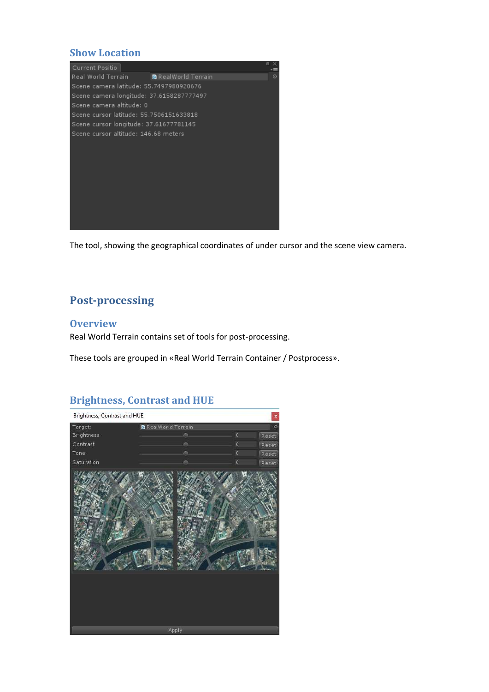## <span id="page-19-0"></span>**Show Location**



The tool, showing the geographical coordinates of under cursor and the scene view camera.

## <span id="page-19-1"></span>**Post-processing**

#### <span id="page-19-2"></span>**Overview**

Real World Terrain contains set of tools for post-processing.

These tools are grouped in «Real World Terrain Container / Postprocess».

## <span id="page-19-3"></span>**Brightness, Contrast and HUE**

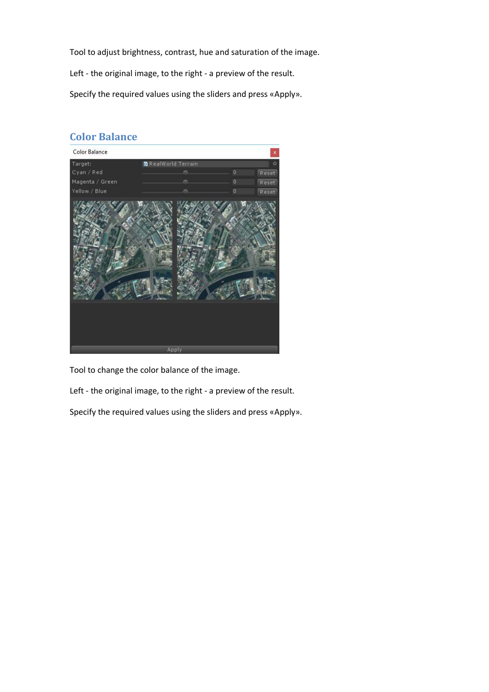Tool to adjust brightness, contrast, hue and saturation of the image.

Left - the original image, to the right - a preview of the result.

Specify the required values using the sliders and press «Apply».

## <span id="page-20-0"></span>**Color Balance**



Tool to change the color balance of the image.

Left - the original image, to the right - a preview of the result.

Specify the required values using the sliders and press «Apply».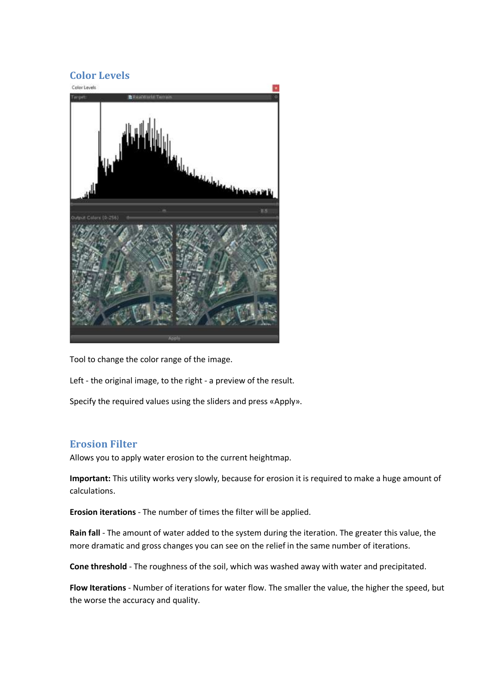# <span id="page-21-0"></span>**Color Levels**



Tool to change the color range of the image.

Left - the original image, to the right - a preview of the result.

Specify the required values using the sliders and press «Apply».

## <span id="page-21-1"></span>**Erosion Filter**

Allows you to apply water erosion to the current heightmap.

**Important:** This utility works very slowly, because for erosion it is required to make a huge amount of calculations.

**Erosion iterations** - The number of times the filter will be applied.

**Rain fall** - The amount of water added to the system during the iteration. The greater this value, the more dramatic and gross changes you can see on the relief in the same number of iterations.

**Cone threshold** - The roughness of the soil, which was washed away with water and precipitated.

**Flow Iterations** - Number of iterations for water flow. The smaller the value, the higher the speed, but the worse the accuracy and quality.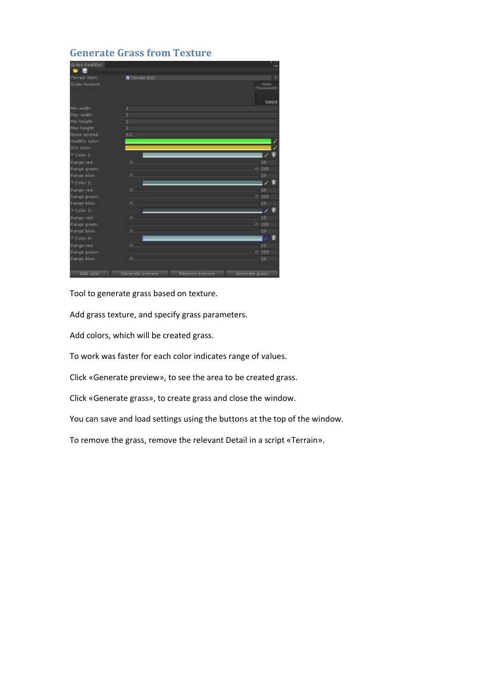## <span id="page-22-0"></span>**Generate Grass from Texture**



Tool to generate grass based on texture.

Add grass texture, and specify grass parameters.

Add colors, which will be created grass.

To work was faster for each color indicates range of values.

Click «Generate preview», to see the area to be created grass.

Click «Generate grass», to create grass and close the window.

You can save and load settings using the buttons at the top of the window.

To remove the grass, remove the relevant Detail in a script «Terrain».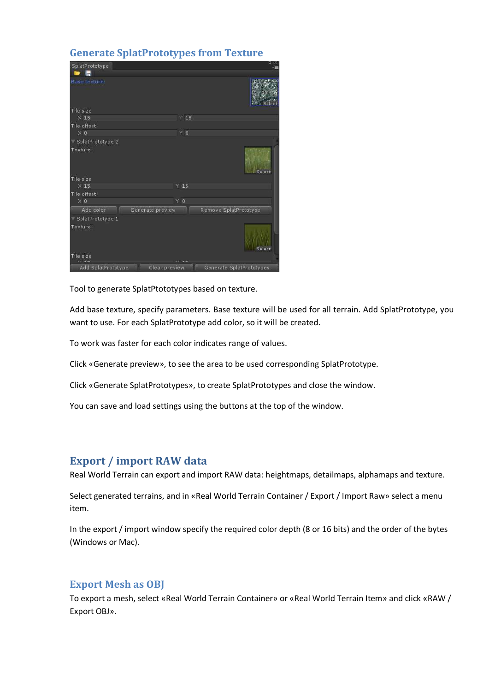## <span id="page-23-0"></span>**Generate SplatPrototypes from Texture**

| SplatPrototype<br>н           |                | 日米                       |
|-------------------------------|----------------|--------------------------|
| Base texture.                 |                |                          |
| Tile size                     |                |                          |
| $\times$ 15                   | $Y$ 15         |                          |
| Tile offset                   |                |                          |
| $\times 0$                    | Y O            |                          |
| SplatPrototype 2              |                |                          |
| Texture:                      |                | Select                   |
| Tile size                     |                |                          |
| $\times$ 15                   | $Y$ 15         |                          |
| Tile offset                   |                |                          |
| $\times$ 0                    | Y <sub>0</sub> |                          |
| Add color<br>Generate preview |                | Remove SplatPrototype    |
| SplatPrototype 1              |                |                          |
| Texture:                      |                | Select                   |
| Tile size                     |                |                          |
| Add SplatPrototype            | $10 - 47$      |                          |
| Clear preview                 |                | Generate SplatPrototypes |

Tool to generate SplatPtototypes based on texture.

Add base texture, specify parameters. Base texture will be used for all terrain. Add SplatPrototype, you want to use. For each SplatPrototype add color, so it will be created.

To work was faster for each color indicates range of values.

Click «Generate preview», to see the area to be used corresponding SplatPrototype.

Click «Generate SplatPrototypes», to create SplatPrototypes and close the window.

You can save and load settings using the buttons at the top of the window.

## <span id="page-23-1"></span>**Export / import RAW data**

Real World Terrain can export and import RAW data: heightmaps, detailmaps, alphamaps and texture.

Select generated terrains, and in «Real World Terrain Container / Export / Import Raw» select a menu item.

In the export / import window specify the required color depth (8 or 16 bits) and the order of the bytes (Windows or Mac).

#### <span id="page-23-2"></span>**Export Mesh as OBJ**

To export a mesh, select «Real World Terrain Container» or «Real World Terrain Item» and click «RAW / Export OBJ».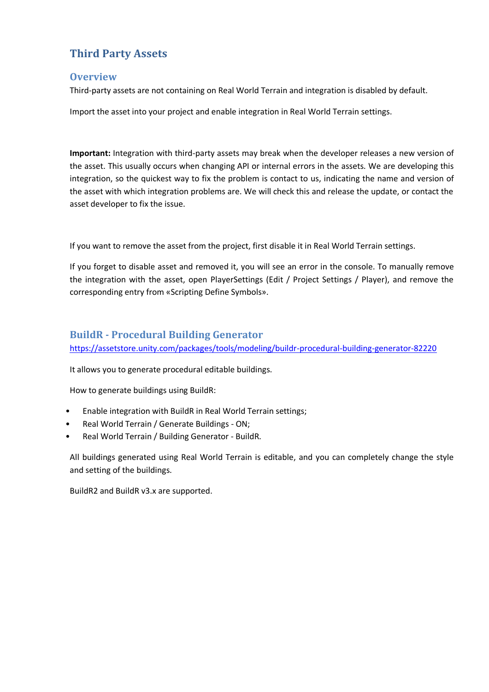# <span id="page-24-0"></span>**Third Party Assets**

#### <span id="page-24-1"></span>**Overview**

Third-party assets are not containing on Real World Terrain and integration is disabled by default.

Import the asset into your project and enable integration in Real World Terrain settings.

**Important:** Integration with third-party assets may break when the developer releases a new version of the asset. This usually occurs when changing API or internal errors in the assets. We are developing this integration, so the quickest way to fix the problem is contact to us, indicating the name and version of the asset with which integration problems are. We will check this and release the update, or contact the asset developer to fix the issue.

If you want to remove the asset from the project, first disable it in Real World Terrain settings.

If you forget to disable asset and removed it, you will see an error in the console. To manually remove the integration with the asset, open PlayerSettings (Edit / Project Settings / Player), and remove the corresponding entry from «Scripting Define Symbols».

## <span id="page-24-2"></span>**BuildR - Procedural Building Generator**

<https://assetstore.unity.com/packages/tools/modeling/buildr-procedural-building-generator-82220>

It allows you to generate procedural editable buildings.

How to generate buildings using BuildR:

- Enable integration with BuildR in Real World Terrain settings;
- Real World Terrain / Generate Buildings ON;
- Real World Terrain / Building Generator BuildR.

All buildings generated using Real World Terrain is editable, and you can completely change the style and setting of the buildings.

BuildR2 and BuildR v3.x are supported.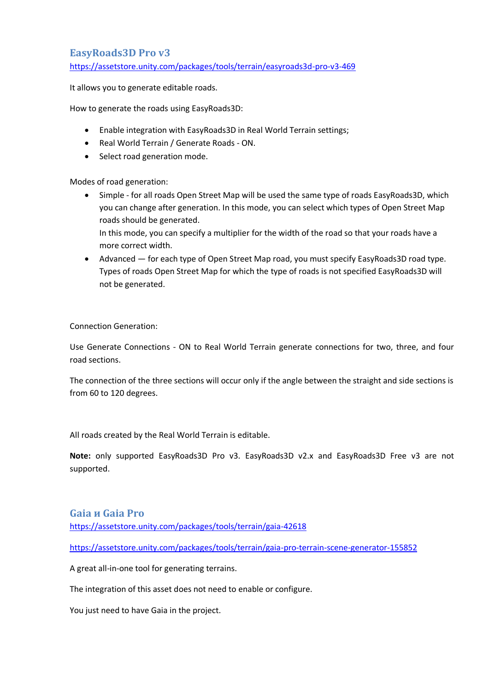## <span id="page-25-0"></span>**EasyRoads3D Pro v3**

<https://assetstore.unity.com/packages/tools/terrain/easyroads3d-pro-v3-469>

It allows you to generate editable roads.

How to generate the roads using EasyRoads3D:

- Enable integration with EasyRoads3D in Real World Terrain settings;
- Real World Terrain / Generate Roads ON.
- Select road generation mode.

Modes of road generation:

• Simple - for all roads Open Street Map will be used the same type of roads EasyRoads3D, which you can change after generation. In this mode, you can select which types of Open Street Map roads should be generated.

In this mode, you can specify a multiplier for the width of the road so that your roads have a more correct width.

• Advanced — for each type of Open Street Map road, you must specify EasyRoads3D road type. Types of roads Open Street Map for which the type of roads is not specified EasyRoads3D will not be generated.

Connection Generation:

Use Generate Connections - ON to Real World Terrain generate connections for two, three, and four road sections.

The connection of the three sections will occur only if the angle between the straight and side sections is from 60 to 120 degrees.

All roads created by the Real World Terrain is editable.

**Note:** only supported EasyRoads3D Pro v3. EasyRoads3D v2.x and EasyRoads3D Free v3 are not supported.

#### <span id="page-25-1"></span>**Gaia и Gaia Pro**

<https://assetstore.unity.com/packages/tools/terrain/gaia-42618>

<https://assetstore.unity.com/packages/tools/terrain/gaia-pro-terrain-scene-generator-155852>

A great all-in-one tool for generating terrains.

The integration of this asset does not need to enable or configure.

You just need to have Gaia in the project.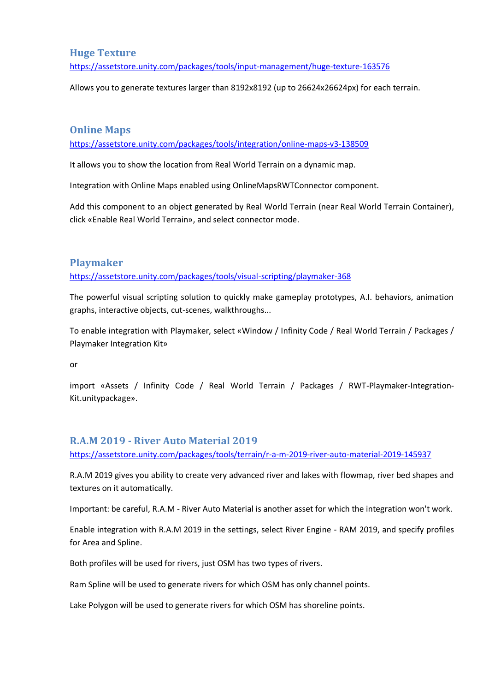## <span id="page-26-0"></span>**Huge Texture**

<https://assetstore.unity.com/packages/tools/input-management/huge-texture-163576>

Allows you to generate textures larger than 8192x8192 (up to 26624x26624px) for each terrain.

#### <span id="page-26-1"></span>**Online Maps**

<https://assetstore.unity.com/packages/tools/integration/online-maps-v3-138509>

It allows you to show the location from Real World Terrain on a dynamic map.

Integration with Online Maps enabled using OnlineMapsRWTConnector component.

Add this component to an object generated by Real World Terrain (near Real World Terrain Container), click «Enable Real World Terrain», and select connector mode.

#### <span id="page-26-2"></span>**Playmaker**

<https://assetstore.unity.com/packages/tools/visual-scripting/playmaker-368>

The powerful visual scripting solution to quickly make gameplay prototypes, A.I. behaviors, animation graphs, interactive objects, cut-scenes, walkthroughs...

To enable integration with Playmaker, select «Window / Infinity Code / Real World Terrain / Packages / Playmaker Integration Kit»

or

import «Assets / Infinity Code / Real World Terrain / Packages / RWT-Playmaker-Integration-Kit.unitypackage».

## <span id="page-26-3"></span>**R.A.M 2019 - River Auto Material 2019**

<https://assetstore.unity.com/packages/tools/terrain/r-a-m-2019-river-auto-material-2019-145937>

R.A.M 2019 gives you ability to create very advanced river and lakes with flowmap, river bed shapes and textures on it automatically.

Important: be careful, R.A.M - River Auto Material is another asset for which the integration won't work.

Enable integration with R.A.M 2019 in the settings, select River Engine - RAM 2019, and specify profiles for Area and Spline.

Both profiles will be used for rivers, just OSM has two types of rivers.

Ram Spline will be used to generate rivers for which OSM has only channel points.

Lake Polygon will be used to generate rivers for which OSM has shoreline points.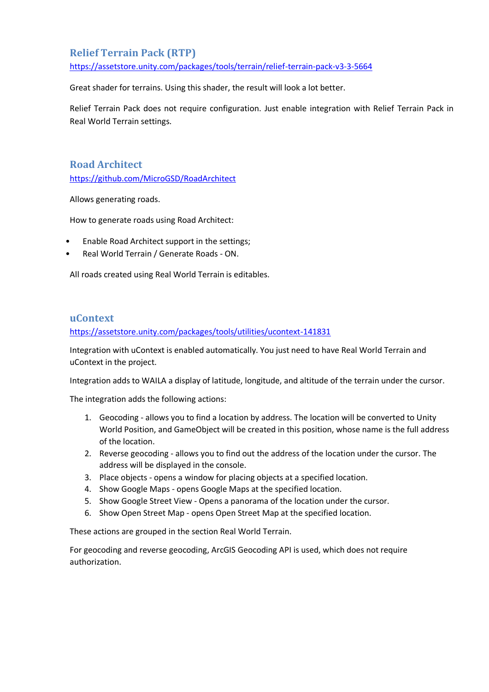## <span id="page-27-0"></span>**Relief Terrain Pack (RTP)**

<https://assetstore.unity.com/packages/tools/terrain/relief-terrain-pack-v3-3-5664>

Great shader for terrains. Using this shader, the result will look a lot better.

Relief Terrain Pack does not require configuration. Just enable integration with Relief Terrain Pack in Real World Terrain settings.

<span id="page-27-1"></span>**Road Architect** <https://github.com/MicroGSD/RoadArchitect>

Allows generating roads.

How to generate roads using Road Architect:

- Enable Road Architect support in the settings;
- Real World Terrain / Generate Roads ON.

All roads created using Real World Terrain is editables.

#### <span id="page-27-2"></span>**uContext**

<https://assetstore.unity.com/packages/tools/utilities/ucontext-141831>

Integration with uContext is enabled automatically. You just need to have Real World Terrain and uContext in the project.

Integration adds to WAILA a display of latitude, longitude, and altitude of the terrain under the cursor.

The integration adds the following actions:

- 1. Geocoding allows you to find a location by address. The location will be converted to Unity World Position, and GameObject will be created in this position, whose name is the full address of the location.
- 2. Reverse geocoding allows you to find out the address of the location under the cursor. The address will be displayed in the console.
- 3. Place objects opens a window for placing objects at a specified location.
- 4. Show Google Maps opens Google Maps at the specified location.
- 5. Show Google Street View Opens a panorama of the location under the cursor.
- 6. Show Open Street Map opens Open Street Map at the specified location.

These actions are grouped in the section Real World Terrain.

For geocoding and reverse geocoding, ArcGIS Geocoding API is used, which does not require authorization.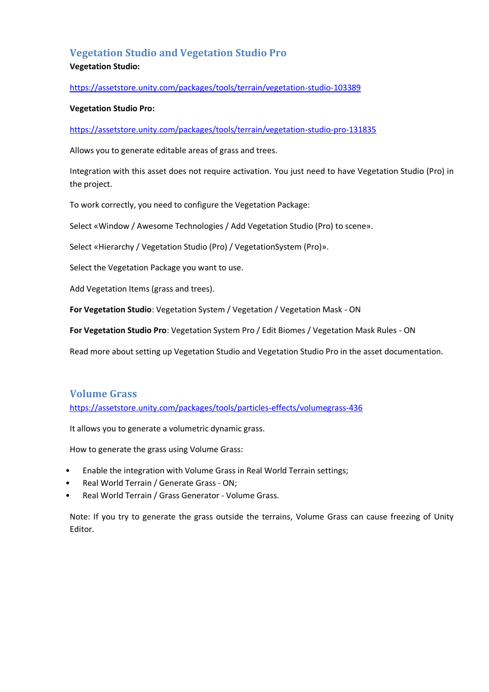## <span id="page-28-0"></span>**Vegetation Studio and Vegetation Studio Pro Vegetation Studio:**

#### <https://assetstore.unity.com/packages/tools/terrain/vegetation-studio-103389>

#### **Vegetation Studio Pro:**

<https://assetstore.unity.com/packages/tools/terrain/vegetation-studio-pro-131835>

Allows you to generate editable areas of grass and trees.

Integration with this asset does not require activation. You just need to have Vegetation Studio (Pro) in the project.

To work correctly, you need to configure the Vegetation Package:

Select «Window / Awesome Technologies / Add Vegetation Studio (Pro) to scene».

Select «Hierarchy / Vegetation Studio (Pro) / VegetationSystem (Pro)».

Select the Vegetation Package you want to use.

Add Vegetation Items (grass and trees).

**For Vegetation Studio**: Vegetation System / Vegetation / Vegetation Mask - ON

**For Vegetation Studio Pro**: Vegetation System Pro / Edit Biomes / Vegetation Mask Rules - ON

Read more about setting up Vegetation Studio and Vegetation Studio Pro in the asset documentation.

#### <span id="page-28-1"></span>**Volume Grass**

<https://assetstore.unity.com/packages/tools/particles-effects/volumegrass-436>

It allows you to generate a volumetric dynamic grass.

How to generate the grass using Volume Grass:

- Enable the integration with Volume Grass in Real World Terrain settings;
- Real World Terrain / Generate Grass ON;
- Real World Terrain / Grass Generator Volume Grass.

Note: If you try to generate the grass outside the terrains, Volume Grass can cause freezing of Unity Editor.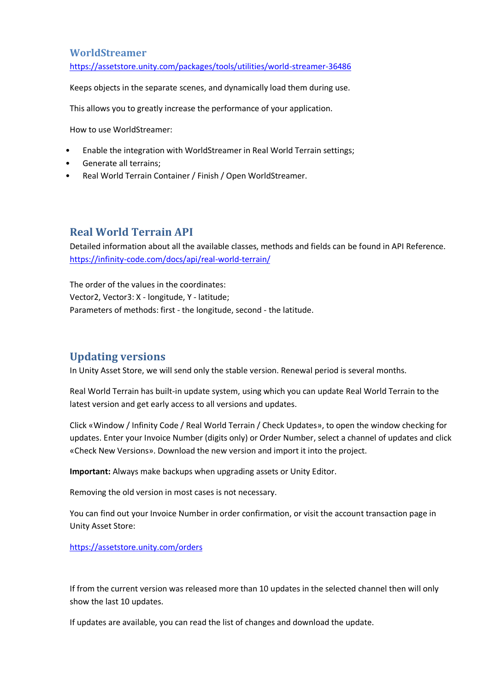#### <span id="page-29-0"></span>**WorldStreamer**

<https://assetstore.unity.com/packages/tools/utilities/world-streamer-36486>

Keeps objects in the separate scenes, and dynamically load them during use.

This allows you to greatly increase the performance of your application.

How to use WorldStreamer:

- Enable the integration with WorldStreamer in Real World Terrain settings;
- Generate all terrains;
- Real World Terrain Container / Finish / Open WorldStreamer.

## <span id="page-29-1"></span>**Real World Terrain API**

Detailed information about all the available classes, methods and fields can be found in API Reference. <https://infinity-code.com/docs/api/real-world-terrain/>

The order of the values in the coordinates: Vector2, Vector3: X - longitude, Y - latitude; Parameters of methods: first - the longitude, second - the latitude.

## <span id="page-29-2"></span>**Updating versions**

In Unity Asset Store, we will send only the stable version. Renewal period is several months.

Real World Terrain has built-in update system, using which you can update Real World Terrain to the latest version and get early access to all versions and updates.

Click «Window / Infinity Code / Real World Terrain / Check Updates», to open the window checking for updates. Enter your Invoice Number (digits only) or Order Number, select a channel of updates and click «Check New Versions». Download the new version and import it into the project.

**Important:** Always make backups when upgrading assets or Unity Editor.

Removing the old version in most cases is not necessary.

You can find out your Invoice Number in order confirmation, or visit the account transaction page in Unity Asset Store:

<https://assetstore.unity.com/orders>

If from the current version was released more than 10 updates in the selected channel then will only show the last 10 updates.

If updates are available, you can read the list of changes and download the update.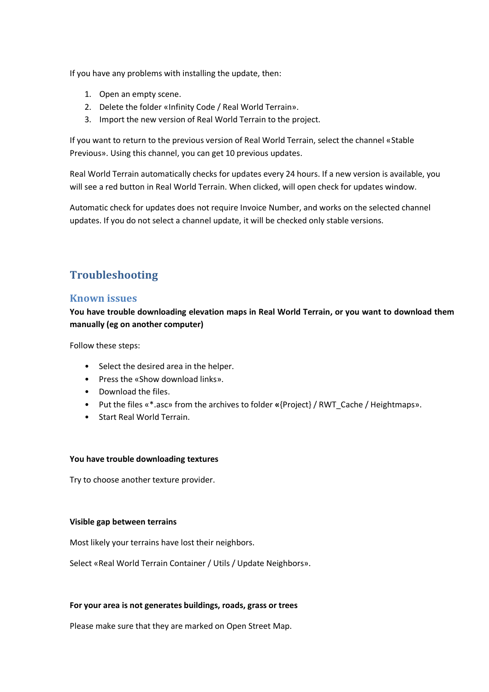If you have any problems with installing the update, then:

- 1. Open an empty scene.
- 2. Delete the folder «Infinity Code / Real World Terrain».
- 3. Import the new version of Real World Terrain to the project.

If you want to return to the previous version of Real World Terrain, select the channel «Stable Previous». Using this channel, you can get 10 previous updates.

Real World Terrain automatically checks for updates every 24 hours. If a new version is available, you will see a red button in Real World Terrain. When clicked, will open check for updates window.

Automatic check for updates does not require Invoice Number, and works on the selected channel updates. If you do not select a channel update, it will be checked only stable versions.

# <span id="page-30-0"></span>**Troubleshooting**

#### <span id="page-30-1"></span>**Known issues**

**You have trouble downloading elevation maps in Real World Terrain, or you want to download them manually (eg on another computer)**

Follow these steps:

- Select the desired area in the helper.
- Press the «Show download links».
- Download the files.
- Put the files «\*.asc» from the archives to folder **«**{Project} / RWT\_Cache / Heightmaps».
- Start Real World Terrain.

#### **You have trouble downloading textures**

Try to choose another texture provider.

#### **Visible gap between terrains**

Most likely your terrains have lost their neighbors.

Select «Real World Terrain Container / Utils / Update Neighbors».

#### **For your area is not generates buildings, roads, grass or trees**

Please make sure that they are marked on Open Street Map.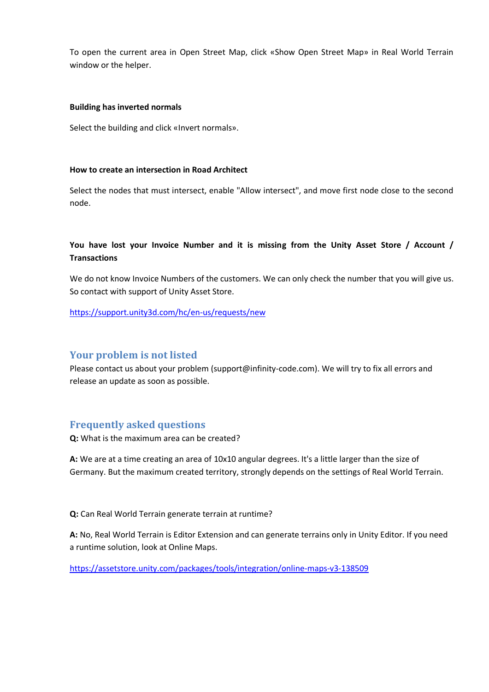To open the current area in Open Street Map, click «Show Open Street Map» in Real World Terrain window or the helper.

#### **Building has inverted normals**

Select the building and click «Invert normals».

#### **How to create an intersection in Road Architect**

Select the nodes that must intersect, enable "Allow intersect", and move first node close to the second node.

#### **You have lost your Invoice Number and it is missing from the Unity Asset Store / Account / Transactions**

We do not know Invoice Numbers of the customers. We can only check the number that you will give us. So contact with support of Unity Asset Store.

<https://support.unity3d.com/hc/en-us/requests/new>

#### <span id="page-31-0"></span>**Your problem is not listed**

Please contact us about your problem (support@infinity-code.com). We will try to fix all errors and release an update as soon as possible.

## <span id="page-31-1"></span>**Frequently asked questions**

**Q:** What is the maximum area can be created?

**A:** We are at a time creating an area of 10x10 angular degrees. It's a little larger than the size of Germany. But the maximum created territory, strongly depends on the settings of Real World Terrain.

**Q:** Can Real World Terrain generate terrain at runtime?

**A:** No, Real World Terrain is Editor Extension and can generate terrains only in Unity Editor. If you need a runtime solution, look at Online Maps.

<https://assetstore.unity.com/packages/tools/integration/online-maps-v3-138509>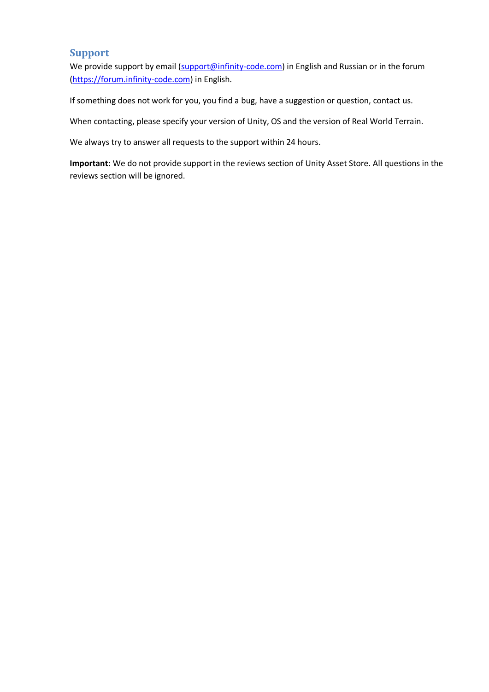## <span id="page-32-0"></span>**Support**

We provide support by email [\(support@infinity-code.com\)](mailto:support@infinity-code.com) in English and Russian or in the forum [\(https://forum.infinity-code.com\)](https://forum.infinity-code.com/) in English.

If something does not work for you, you find a bug, have a suggestion or question, contact us.

When contacting, please specify your version of Unity, OS and the version of Real World Terrain.

We always try to answer all requests to the support within 24 hours.

**Important:** We do not provide support in the reviews section of Unity Asset Store. All questions in the reviews section will be ignored.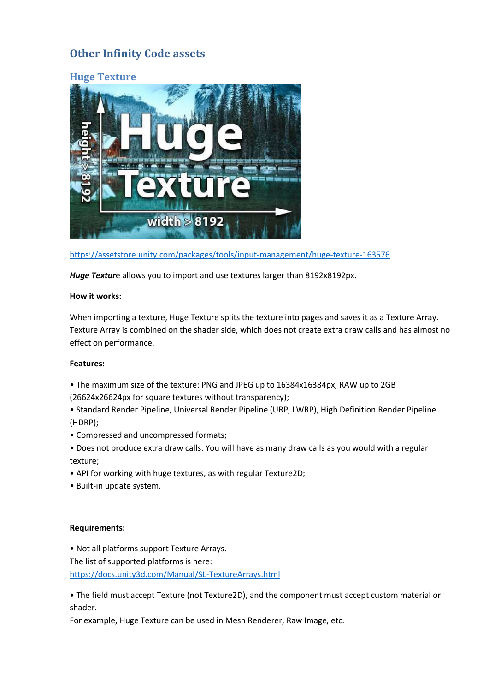# <span id="page-33-0"></span>**Other Infinity Code assets**

<span id="page-33-1"></span>

<https://assetstore.unity.com/packages/tools/input-management/huge-texture-163576>

*Huge Textur*e allows you to import and use textures larger than 8192x8192px.

#### **How it works:**

When importing a texture, Huge Texture splits the texture into pages and saves it as a Texture Array. Texture Array is combined on the shader side, which does not create extra draw calls and has almost no effect on performance.

#### **Features:**

- The maximum size of the texture: PNG and JPEG up to 16384x16384px, RAW up to 2GB
- (26624x26624px for square textures without transparency);
- Standard Render Pipeline, Universal Render Pipeline (URP, LWRP), High Definition Render Pipeline (HDRP);
- Compressed and uncompressed formats;
- Does not produce extra draw calls. You will have as many draw calls as you would with a regular texture;
- API for working with huge textures, as with regular Texture2D;
- Built-in update system.

#### **Requirements:**

• Not all platforms support Texture Arrays.

The list of supported platforms is here:

<https://docs.unity3d.com/Manual/SL-TextureArrays.html>

• The field must accept Texture (not Texture2D), and the component must accept custom material or shader.

For example, Huge Texture can be used in Mesh Renderer, Raw Image, etc.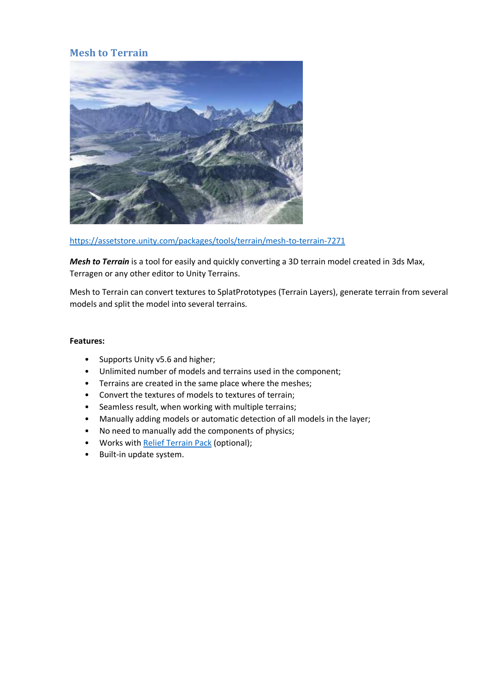## <span id="page-34-0"></span>**Mesh to Terrain**



<https://assetstore.unity.com/packages/tools/terrain/mesh-to-terrain-7271>

*Mesh to Terrain* is a tool for easily and quickly converting a 3D terrain model created in 3ds Max, Terragen or any other editor to Unity Terrains.

Mesh to Terrain can convert textures to SplatPrototypes (Terrain Layers), generate terrain from several models and split the model into several terrains.

#### **Features:**

- Supports Unity v5.6 and higher;
- Unlimited number of models and terrains used in the component;
- Terrains are created in the same place where the meshes;
- Convert the textures of models to textures of terrain;
- Seamless result, when working with multiple terrains;
- Manually adding models or automatic detection of all models in the layer;
- No need to manually add the components of physics;
- Works wit[h Relief Terrain Pack](https://www.assetstore.unity3d.com/en/#!/content/5664) (optional);
- Built-in update system.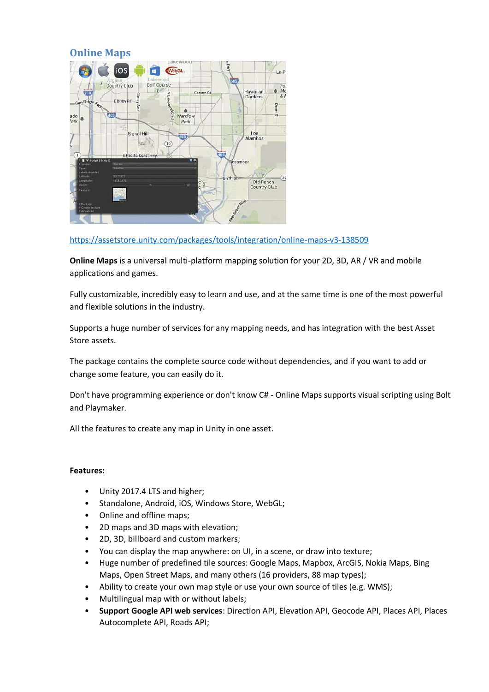## <span id="page-35-0"></span>**Online Maps**



<https://assetstore.unity.com/packages/tools/integration/online-maps-v3-138509>

**Online Maps** is a universal multi-platform mapping solution for your 2D, 3D, AR / VR and mobile applications and games.

Fully customizable, incredibly easy to learn and use, and at the same time is one of the most powerful and flexible solutions in the industry.

Supports a huge number of services for any mapping needs, and has integration with the best Asset Store assets.

The package contains the complete source code without dependencies, and if you want to add or change some feature, you can easily do it.

Don't have programming experience or don't know C# - Online Maps supports visual scripting using Bolt and Playmaker.

All the features to create any map in Unity in one asset.

#### **Features:**

- Unity 2017.4 LTS and higher;
- Standalone, Android, iOS, Windows Store, WebGL;
- Online and offline maps;
- 2D maps and 3D maps with elevation;
- 2D, 3D, billboard and custom markers;
- You can display the map anywhere: on UI, in a scene, or draw into texture;
- Huge number of predefined tile sources: Google Maps, Mapbox, ArcGIS, Nokia Maps, Bing Maps, Open Street Maps, and many others (16 providers, 88 map types);
- Ability to create your own map style or use your own source of tiles (e.g. WMS);
- Multilingual map with or without labels;
- **Support Google API web services**: Direction API, Elevation API, Geocode API, Places API, Places Autocomplete API, Roads API;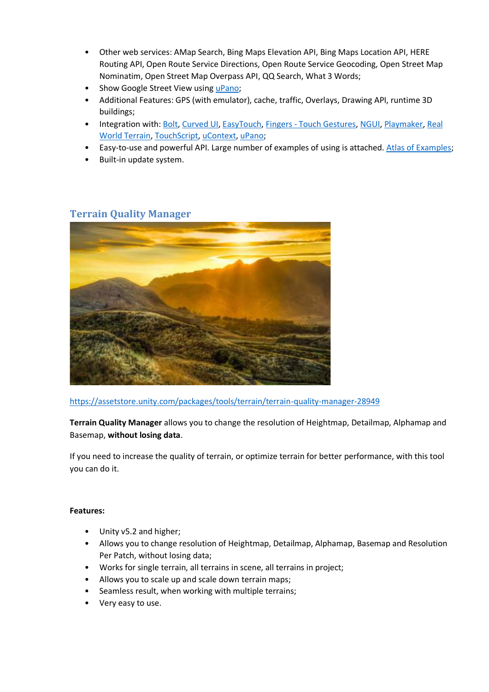- Other web services: AMap Search, Bing Maps Elevation API, Bing Maps Location API, HERE Routing API, Open Route Service Directions, Open Route Service Geocoding, Open Street Map Nominatim, Open Street Map Overpass API, QQ Search, What 3 Words;
- Show Google Street View usin[g uPano;](https://www.assetstore.unity3d.com/en/#!/content/126396)
- Additional Features: GPS (with emulator), cache, traffic, Overlays, Drawing API, runtime 3D buildings;
- Integration with[: Bolt,](https://assetstore.unity.com/packages/tools/visual-scripting/bolt-87491) [Curved UI,](https://assetstore.unity.com/packages/tools/gui/curved-ui-vr-ready-solution-to-bend-warp-your-canvas-53258) [EasyTouch,](https://assetstore.unity.com/packages/tools/input-management/easy-touch-5-touchscreen-virtual-controls-3322) Fingers [Touch Gestures,](https://assetstore.unity.com/packages/tools/input-management/fingers-touch-gestures-for-unity-41076) [NGUI,](https://assetstore.unity.com/packages/tools/gui/ngui-next-gen-ui-2413) [Playmaker,](https://assetstore.unity.com/packages/tools/visual-scripting/playmaker-368) [Real](https://assetstore.unity.com/packages/tools/terrain/real-world-terrain-8752)  [World Terrain,](https://assetstore.unity.com/packages/tools/terrain/real-world-terrain-8752) [TouchScript,](https://assetstore.unity.com/packages/tools/input-management/touchscript-7394) [uContext,](https://assetstore.unity.com/packages/tools/utilities/ucontext-141831) [uPano;](https://assetstore.unity.com/packages/tools/integration/upano-126396)
- Easy-to-use and powerful API. Large number of examples of using is attached[. Atlas of Examples;](http://infinity-code.com/atlas/online-maps/)
- Built-in update system.

## <span id="page-36-0"></span>**Terrain Quality Manager**



<https://assetstore.unity.com/packages/tools/terrain/terrain-quality-manager-28949>

**Terrain Quality Manager** allows you to change the resolution of Heightmap, Detailmap, Alphamap and Basemap, **without losing data**.

If you need to increase the quality of terrain, or optimize terrain for better performance, with this tool you can do it.

#### **Features:**

- Unity v5.2 and higher;
- Allows you to change resolution of Heightmap, Detailmap, Alphamap, Basemap and Resolution Per Patch, without losing data;
- Works for single terrain, all terrains in scene, all terrains in project;
- Allows you to scale up and scale down terrain maps;
- Seamless result, when working with multiple terrains;
- Very easy to use.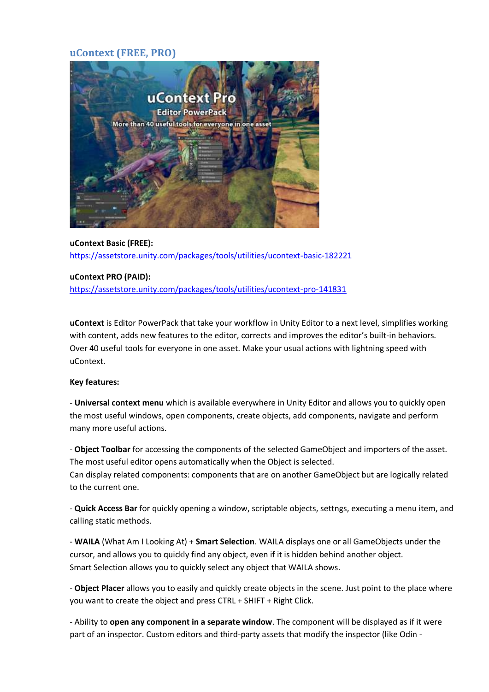## <span id="page-37-0"></span>**uContext (FREE, PRO)**



**uContext Basic (FREE):** <https://assetstore.unity.com/packages/tools/utilities/ucontext-basic-182221>

#### **uContext PRO (PAID):**

<https://assetstore.unity.com/packages/tools/utilities/ucontext-pro-141831>

**uContext** is Editor PowerPack that take your workflow in Unity Editor to a next level, simplifies working with content, adds new features to the editor, corrects and improves the editor's built-in behaviors. Over 40 useful tools for everyone in one asset. Make your usual actions with lightning speed with uContext.

#### **Key features:**

- **Universal context menu** which is available everywhere in Unity Editor and allows you to quickly open the most useful windows, open components, create objects, add components, navigate and perform many more useful actions.

- **Object Toolbar** for accessing the components of the selected GameObject and importers of the asset. The most useful editor opens automatically when the Object is selected.

Can display related components: components that are on another GameObject but are logically related to the current one.

- **Quick Access Bar** for quickly opening a window, scriptable objects, settngs, executing a menu item, and calling static methods.

- **WAILA** (What Am I Looking At) + **Smart Selection**. WAILA displays one or all GameObjects under the cursor, and allows you to quickly find any object, even if it is hidden behind another object. Smart Selection allows you to quickly select any object that WAILA shows.

- **Object Placer** allows you to easily and quickly create objects in the scene. Just point to the place where you want to create the object and press CTRL + SHIFT + Right Click.

- Ability to **open any component in a separate window**. The component will be displayed as if it were part of an inspector. Custom editors and third-party assets that modify the inspector (like Odin -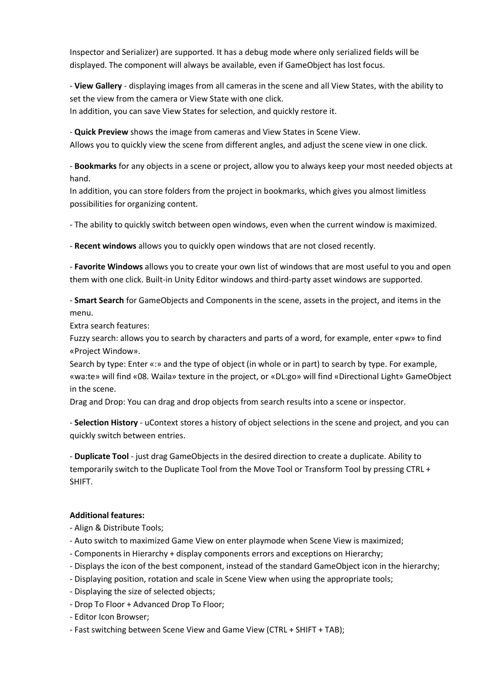Inspector and Serializer) are supported. It has a debug mode where only serialized fields will be displayed. The component will always be available, even if GameObject has lost focus.

- **View Gallery** - displaying images from all cameras in the scene and all View States, with the ability to set the view from the camera or View State with one click. In addition, you can save View States for selection, and quickly restore it.

- **Quick Preview** shows the image from cameras and View States in Scene View.

Allows you to quickly view the scene from different angles, and adjust the scene view in one click.

- **Bookmarks** for any objects in a scene or project, allow you to always keep your most needed objects at hand.

In addition, you can store folders from the project in bookmarks, which gives you almost limitless possibilities for organizing content.

- The ability to quickly switch between open windows, even when the current window is maximized.

- **Recent windows** allows you to quickly open windows that are not closed recently.

- **Favorite Windows** allows you to create your own list of windows that are most useful to you and open them with one click. Built-in Unity Editor windows and third-party asset windows are supported.

- **Smart Search** for GameObjects and Components in the scene, assets in the project, and items in the menu.

Extra search features:

Fuzzy search: allows you to search by characters and parts of a word, for example, enter «pw» to find «Project Window».

Search by type: Enter «:» and the type of object (in whole or in part) to search by type. For example, «wa:te» will find «08. Waila» texture in the project, or «DL:go» will find «Directional Light» GameObject in the scene.

Drag and Drop: You can drag and drop objects from search results into a scene or inspector.

- **Selection History** - uContext stores a history of object selections in the scene and project, and you can quickly switch between entries.

- **Duplicate Tool** - just drag GameObjects in the desired direction to create a duplicate. Ability to temporarily switch to the Duplicate Tool from the Move Tool or Transform Tool by pressing CTRL + SHIFT.

#### **Additional features:**

- Align & Distribute Tools;
- Auto switch to maximized Game View on enter playmode when Scene View is maximized;
- Components in Hierarchy + display components errors and exceptions on Hierarchy;
- Displays the icon of the best component, instead of the standard GameObject icon in the hierarchy;
- Displaying position, rotation and scale in Scene View when using the appropriate tools;
- Displaying the size of selected objects;
- Drop To Floor + Advanced Drop To Floor;
- Editor Icon Browser;
- Fast switching between Scene View and Game View (CTRL + SHIFT + TAB);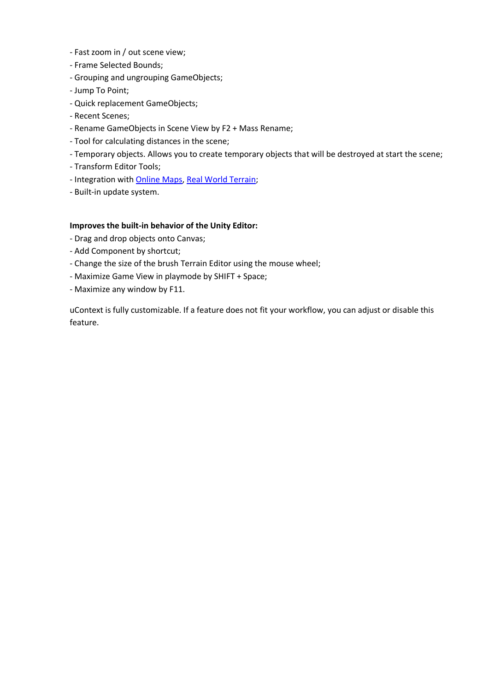- Fast zoom in / out scene view;
- Frame Selected Bounds;
- Grouping and ungrouping GameObjects;
- Jump To Point;
- Quick replacement GameObjects;
- Recent Scenes;
- Rename GameObjects in Scene View by F2 + Mass Rename;
- Tool for calculating distances in the scene;
- Temporary objects. Allows you to create temporary objects that will be destroyed at start the scene;
- Transform Editor Tools;
- Integration wit[h Online Maps,](https://assetstore.unity.com/packages/tools/integration/online-maps-v3-138509) [Real World Terrain;](https://assetstore.unity.com/packages/tools/terrain/real-world-terrain-8752)
- Built-in update system.

#### **Improves the built-in behavior of the Unity Editor:**

- Drag and drop objects onto Canvas;
- Add Component by shortcut;
- Change the size of the brush Terrain Editor using the mouse wheel;
- Maximize Game View in playmode by SHIFT + Space;
- Maximize any window by F11.

uContext is fully customizable. If a feature does not fit your workflow, you can adjust or disable this feature.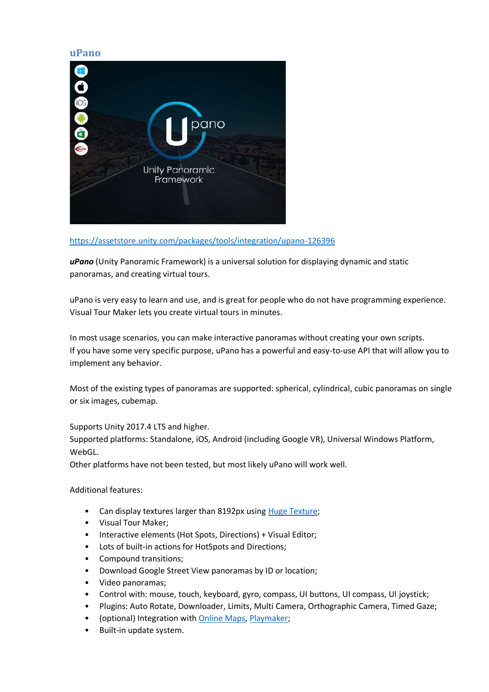#### <span id="page-40-0"></span>**uPano**



<https://assetstore.unity.com/packages/tools/integration/upano-126396>

*uPano* (Unity Panoramic Framework) is a universal solution for displaying dynamic and static panoramas, and creating virtual tours.

uPano is very easy to learn and use, and is great for people who do not have programming experience. Visual Tour Maker lets you create virtual tours in minutes.

In most usage scenarios, you can make interactive panoramas without creating your own scripts. If you have some very specific purpose, uPano has a powerful and easy-to-use API that will allow you to implement any behavior.

Most of the existing types of panoramas are supported: spherical, cylindrical, cubic panoramas on single or six images, cubemap.

#### Supports Unity 2017.4 LTS and higher.

Supported platforms: Standalone, iOS, Android (including Google VR), Universal Windows Platform, WebGL.

Other platforms have not been tested, but most likely uPano will work well.

Additional features:

- Can display textures larger than 8192px using [Huge Texture;](https://assetstore.unity.com/packages/tools/input-management/huge-texture-163576)
- Visual Tour Maker;
- Interactive elements (Hot Spots, Directions) + Visual Editor;
- Lots of built-in actions for HotSpots and Directions;
- Compound transitions;
- Download Google Street View panoramas by ID or location;
- Video panoramas;
- Control with: mouse, touch, keyboard, gyro, compass, UI buttons, UI compass, UI joystick;
- Plugins: Auto Rotate, Downloader, Limits, Multi Camera, Orthographic Camera, Timed Gaze;
- (optional) Integration with [Online Maps,](https://assetstore.unity.com/packages/tools/integration/online-maps-13261) [Playmaker;](https://assetstore.unity.com/packages/tools/visual-scripting/playmaker-368)
- Built-in update system.